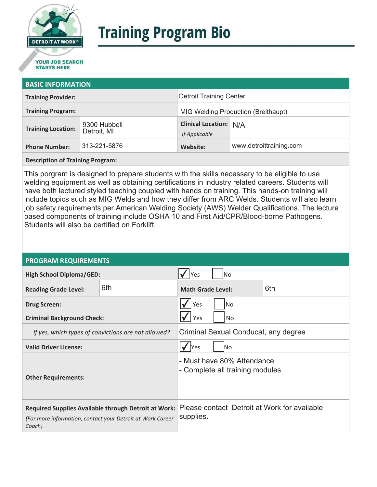

# **Training Program Bio**

## **STARTS HERE**

#### **BASIC INFORMATION**

| <b>Training Provider:</b> |                             | <b>Detroit Training Center</b>                 |                         |
|---------------------------|-----------------------------|------------------------------------------------|-------------------------|
| <b>Training Program:</b>  |                             | <b>MIG Welding Production (Breithaupt)</b>     |                         |
| <b>Training Location:</b> | 9300 Hubbell<br>Detroit, MI | <b>Clinical Location: N/A</b><br>If Applicable |                         |
| <b>Phone Number:</b>      | 313-221-5876                | Website:                                       | www.detroittraining.com |

**Description of Training Program:** 

This porgram is designed to prepare students with the skills necessary to be eligible to use welding equipment as well as obtaining certifications in industry related careers. Students will have both lectured styled teaching coupled with hands on training. This hands-on training will include topics such as MIG Welds and how they differ from ARC Welds. Students will also learn job safety requirements per American Welding Society (AWS) Welder Qualifications. The lecture based components of training include OSHA 10 and First Aid/CPR/Blood-borne Pathogens. Students will also be certified on Forklift.

#### **PROGRAM REQUIREMENTS**

| <b>High School Diploma/GED:</b>                                                                                                     |     | lNo<br>Yes                                                    |  |  |
|-------------------------------------------------------------------------------------------------------------------------------------|-----|---------------------------------------------------------------|--|--|
| <b>Reading Grade Level:</b>                                                                                                         | 6th | 6th<br><b>Math Grade Level:</b>                               |  |  |
| <b>Drug Screen:</b>                                                                                                                 |     | Yes<br>lNo                                                    |  |  |
| <b>Criminal Background Check:</b>                                                                                                   |     | Yes<br>No                                                     |  |  |
| If yes, which types of convictions are not allowed?                                                                                 |     | Criminal Sexual Conducat, any degree                          |  |  |
| <b>Valid Driver License:</b>                                                                                                        |     | <b>Yes</b><br><b>No</b>                                       |  |  |
| <b>Other Requirements:</b>                                                                                                          |     | - Must have 80% Attendance<br>- Complete all training modules |  |  |
| <b>Required Supplies Available through Detroit at Work:</b><br>(For more information, contact your Detroit at Work Career<br>Coach) |     | Please contact Detroit at Work for available<br>supplies.     |  |  |